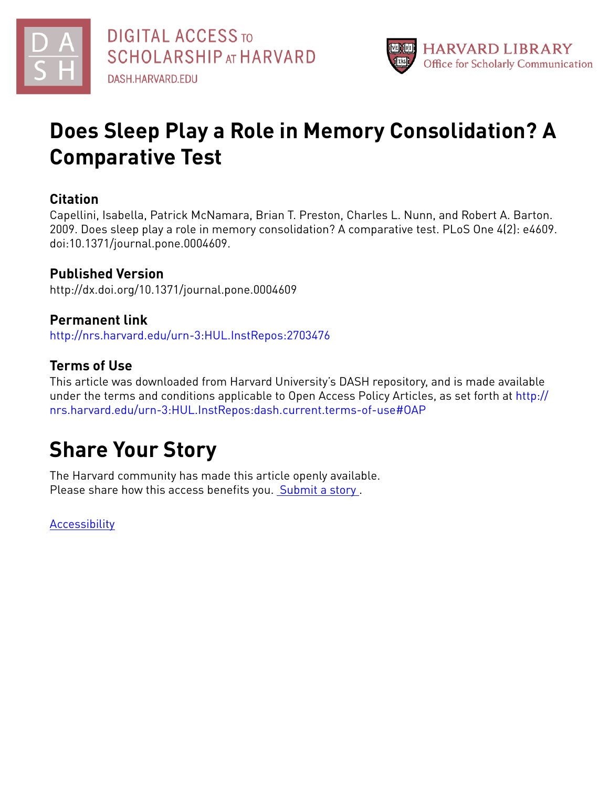



## **Does Sleep Play a Role in Memory Consolidation? A Comparative Test**

### **Citation**

Capellini, Isabella, Patrick McNamara, Brian T. Preston, Charles L. Nunn, and Robert A. Barton. 2009. Does sleep play a role in memory consolidation? A comparative test. PLoS One 4(2): e4609. doi:10.1371/journal.pone.0004609.

## **Published Version**

http://dx.doi.org/10.1371/journal.pone.0004609

## **Permanent link**

<http://nrs.harvard.edu/urn-3:HUL.InstRepos:2703476>

## **Terms of Use**

This article was downloaded from Harvard University's DASH repository, and is made available under the terms and conditions applicable to Open Access Policy Articles, as set forth at [http://](http://nrs.harvard.edu/urn-3:HUL.InstRepos:dash.current.terms-of-use#OAP) [nrs.harvard.edu/urn-3:HUL.InstRepos:dash.current.terms-of-use#OAP](http://nrs.harvard.edu/urn-3:HUL.InstRepos:dash.current.terms-of-use#OAP)

# **Share Your Story**

The Harvard community has made this article openly available. Please share how this access benefits you. [Submit](http://osc.hul.harvard.edu/dash/open-access-feedback?handle=&title=Does%20Sleep%20Play%20a%20Role%20in%20Memory%20Consolidation?%20A%20Comparative%20Test&community=1/1&collection=1/2&owningCollection1/2&harvardAuthors=b58a8e084582f45d6a95c206135236fd&departmentAnthropology) a story .

**[Accessibility](https://dash.harvard.edu/pages/accessibility)**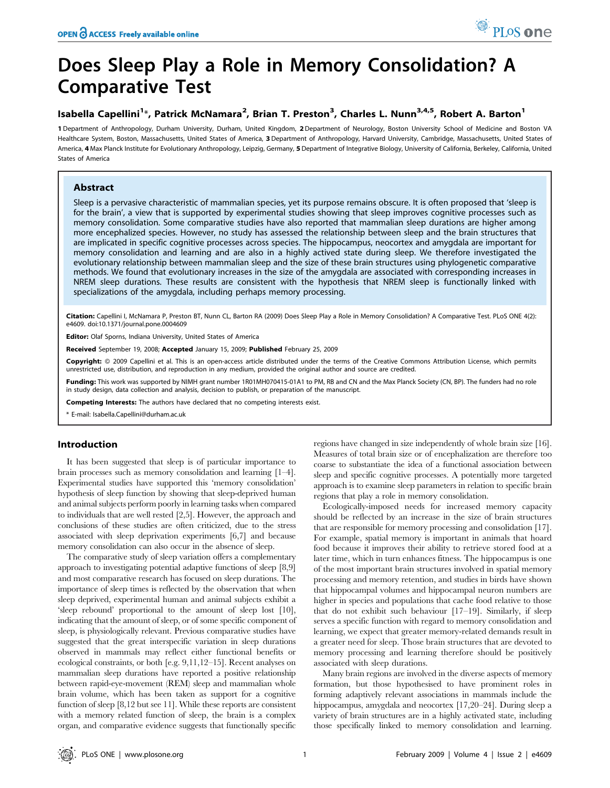## Does Sleep Play a Role in Memory Consolidation? A Comparative Test

#### Isabella Capellini<sup>1</sup>\*, Patrick McNamara<sup>2</sup>, Brian T. Preston<sup>3</sup>, Charles L. Nunn<sup>3,4,5</sup>, Robert A. Barton<sup>1</sup>

1 Department of Anthropology, Durham University, Durham, United Kingdom, 2 Department of Neurology, Boston University School of Medicine and Boston VA Healthcare System, Boston, Massachusetts, United States of America, 3 Department of Anthropology, Harvard University, Cambridge, Massachusetts, United States of America, 4 Max Planck Institute for Evolutionary Anthropology, Leipzig, Germany, 5 Department of Integrative Biology, University of California, Berkeley, California, United States of America

#### Abstract

Sleep is a pervasive characteristic of mammalian species, yet its purpose remains obscure. It is often proposed that 'sleep is for the brain', a view that is supported by experimental studies showing that sleep improves cognitive processes such as memory consolidation. Some comparative studies have also reported that mammalian sleep durations are higher among more encephalized species. However, no study has assessed the relationship between sleep and the brain structures that are implicated in specific cognitive processes across species. The hippocampus, neocortex and amygdala are important for memory consolidation and learning and are also in a highly actived state during sleep. We therefore investigated the evolutionary relationship between mammalian sleep and the size of these brain structures using phylogenetic comparative methods. We found that evolutionary increases in the size of the amygdala are associated with corresponding increases in NREM sleep durations. These results are consistent with the hypothesis that NREM sleep is functionally linked with specializations of the amygdala, including perhaps memory processing.

Citation: Capellini I, McNamara P, Preston BT, Nunn CL, Barton RA (2009) Does Sleep Play a Role in Memory Consolidation? A Comparative Test. PLoS ONE 4(2): e4609. doi:10.1371/journal.pone.0004609

Editor: Olaf Sporns, Indiana University, United States of America

Received September 19, 2008; Accepted January 15, 2009; Published February 25, 2009

Copyright: @ 2009 Capellini et al. This is an open-access article distributed under the terms of the Creative Commons Attribution License, which permits unrestricted use, distribution, and reproduction in any medium, provided the original author and source are credited.

Funding: This work was supported by NIMH grant number 1R01MH070415-01A1 to PM, RB and CN and the Max Planck Society (CN, BP). The funders had no role in study design, data collection and analysis, decision to publish, or preparation of the manuscript.

Competing Interests: The authors have declared that no competing interests exist.

\* E-mail: Isabella.Capellini@durham.ac.uk

#### Introduction

It has been suggested that sleep is of particular importance to brain processes such as memory consolidation and learning [1–4]. Experimental studies have supported this 'memory consolidation' hypothesis of sleep function by showing that sleep-deprived human and animal subjects perform poorly in learning tasks when compared to individuals that are well rested [2,5]. However, the approach and conclusions of these studies are often criticized, due to the stress associated with sleep deprivation experiments [6,7] and because memory consolidation can also occur in the absence of sleep.

The comparative study of sleep variation offers a complementary approach to investigating potential adaptive functions of sleep [8,9] and most comparative research has focused on sleep durations. The importance of sleep times is reflected by the observation that when sleep deprived, experimental human and animal subjects exhibit a 'sleep rebound' proportional to the amount of sleep lost [10], indicating that the amount of sleep, or of some specific component of sleep, is physiologically relevant. Previous comparative studies have suggested that the great interspecific variation in sleep durations observed in mammals may reflect either functional benefits or ecological constraints, or both [e.g. 9,11,12–15]. Recent analyses on mammalian sleep durations have reported a positive relationship between rapid-eye-movement (REM) sleep and mammalian whole brain volume, which has been taken as support for a cognitive function of sleep [8,12 but see 11]. While these reports are consistent with a memory related function of sleep, the brain is a complex organ, and comparative evidence suggests that functionally specific

regions have changed in size independently of whole brain size [16]. Measures of total brain size or of encephalization are therefore too coarse to substantiate the idea of a functional association between sleep and specific cognitive processes. A potentially more targeted approach is to examine sleep parameters in relation to specific brain regions that play a role in memory consolidation.

Ecologically-imposed needs for increased memory capacity should be reflected by an increase in the size of brain structures that are responsible for memory processing and consolidation [17]. For example, spatial memory is important in animals that hoard food because it improves their ability to retrieve stored food at a later time, which in turn enhances fitness. The hippocampus is one of the most important brain structures involved in spatial memory processing and memory retention, and studies in birds have shown that hippocampal volumes and hippocampal neuron numbers are higher in species and populations that cache food relative to those that do not exhibit such behaviour [17–19]. Similarly, if sleep serves a specific function with regard to memory consolidation and learning, we expect that greater memory-related demands result in a greater need for sleep. Those brain structures that are devoted to memory processing and learning therefore should be positively associated with sleep durations.

Many brain regions are involved in the diverse aspects of memory formation, but those hypothesised to have prominent roles in forming adaptively relevant associations in mammals include the hippocampus, amygdala and neocortex [17,20–24]. During sleep a variety of brain structures are in a highly activated state, including those specifically linked to memory consolidation and learning.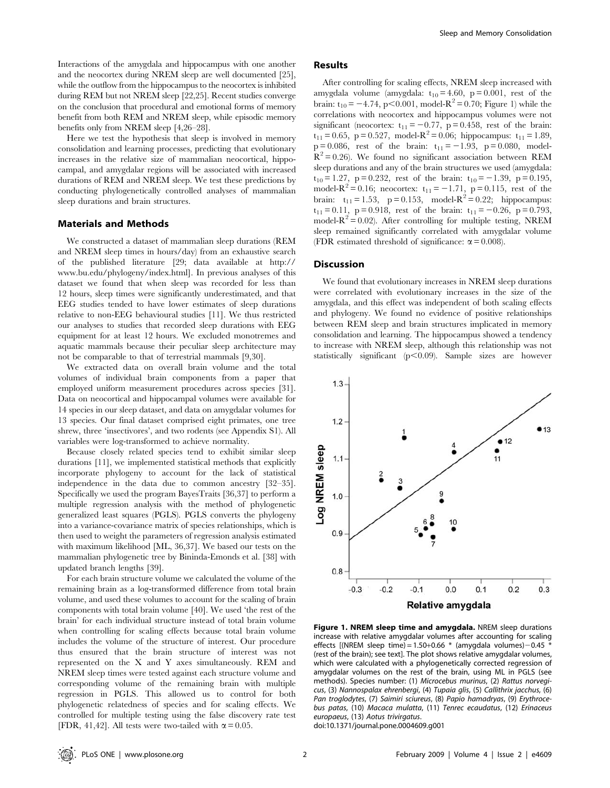Interactions of the amygdala and hippocampus with one another and the neocortex during NREM sleep are well documented [25], while the outflow from the hippocampus to the neocortex is inhibited during REM but not NREM sleep [22,25]. Recent studies converge on the conclusion that procedural and emotional forms of memory benefit from both REM and NREM sleep, while episodic memory benefits only from NREM sleep [4,26–28].

Here we test the hypothesis that sleep is involved in memory consolidation and learning processes, predicting that evolutionary increases in the relative size of mammalian neocortical, hippocampal, and amygdalar regions will be associated with increased durations of REM and NREM sleep. We test these predictions by conducting phylogenetically controlled analyses of mammalian sleep durations and brain structures.

#### Materials and Methods

We constructed a dataset of mammalian sleep durations (REM and NREM sleep times in hours/day) from an exhaustive search of the published literature [29; data available at http:// www.bu.edu/phylogeny/index.html]. In previous analyses of this dataset we found that when sleep was recorded for less than 12 hours, sleep times were significantly underestimated, and that EEG studies tended to have lower estimates of sleep durations relative to non-EEG behavioural studies [11]. We thus restricted our analyses to studies that recorded sleep durations with EEG equipment for at least 12 hours. We excluded monotremes and aquatic mammals because their peculiar sleep architecture may not be comparable to that of terrestrial mammals [9,30].

We extracted data on overall brain volume and the total volumes of individual brain components from a paper that employed uniform measurement procedures across species [31]. Data on neocortical and hippocampal volumes were available for 14 species in our sleep dataset, and data on amygdalar volumes for 13 species. Our final dataset comprised eight primates, one tree shrew, three 'insectivores', and two rodents (see Appendix S1). All variables were log-transformed to achieve normality.

Because closely related species tend to exhibit similar sleep durations [11], we implemented statistical methods that explicitly incorporate phylogeny to account for the lack of statistical independence in the data due to common ancestry [32–35]. Specifically we used the program BayesTraits [36,37] to perform a multiple regression analysis with the method of phylogenetic generalized least squares (PGLS). PGLS converts the phylogeny into a variance-covariance matrix of species relationships, which is then used to weight the parameters of regression analysis estimated with maximum likelihood [ML, 36,37]. We based our tests on the mammalian phylogenetic tree by Bininda-Emonds et al. [38] with updated branch lengths [39].

For each brain structure volume we calculated the volume of the remaining brain as a log-transformed difference from total brain volume, and used these volumes to account for the scaling of brain components with total brain volume [40]. We used 'the rest of the brain' for each individual structure instead of total brain volume when controlling for scaling effects because total brain volume includes the volume of the structure of interest. Our procedure thus ensured that the brain structure of interest was not represented on the X and Y axes simultaneously. REM and NREM sleep times were tested against each structure volume and corresponding volume of the remaining brain with multiple regression in PGLS. This allowed us to control for both phylogenetic relatedness of species and for scaling effects. We controlled for multiple testing using the false discovery rate test [FDR, 41,42]. All tests were two-tailed with  $\alpha$  = 0.05.

#### Results

After controlling for scaling effects, NREM sleep increased with amygdala volume (amygdala:  $t_{10} = 4.60$ , p = 0.001, rest of the brain:  $t_{10} = -4.74$ , p $< 0.001$ , model- $R^2 = 0.70$ ; Figure 1) while the correlations with neocortex and hippocampus volumes were not significant (neocortex:  $t_{11} = -0.77$ ,  $p = 0.458$ , rest of the brain:  $t_{11} = 0.65$ , p = 0.527, model- $R^2 = 0.06$ ; hippocampus:  $t_{11} = 1.89$ ,  $p = 0.086$ , rest of the brain:  $t_{11} = -1.93$ ,  $p = 0.080$ , model- $R^2$  = 0.26). We found no significant association between REM sleep durations and any of the brain structures we used (amygdala:  $t_{10} = 1.27$ , p = 0.232, rest of the brain:  $t_{10} = -1.39$ , p = 0.195, model- $R^2 = 0.16$ ; neocortex:  $t_{11} = -1.71$ , p = 0.115, rest of the brain:  $t_{11} = 1.53$ ,  $p = 0.153$ , model- $R^2 = 0.22$ ; hippocampus:  $t_{11} = 0.11$ , p = 0.918, rest of the brain:  $t_{11} = -0.26$ , p = 0.793, model- $R^2$  = 0.02). After controlling for multiple testing, NREM sleep remained significantly correlated with amygdalar volume (FDR estimated threshold of significance:  $\alpha$  = 0.008).

#### **Discussion**

We found that evolutionary increases in NREM sleep durations were correlated with evolutionary increases in the size of the amygdala, and this effect was independent of both scaling effects and phylogeny. We found no evidence of positive relationships between REM sleep and brain structures implicated in memory consolidation and learning. The hippocampus showed a tendency to increase with NREM sleep, although this relationship was not statistically significant  $(p<0.09)$ . Sample sizes are however



Figure 1. NREM sleep time and amygdala. NREM sleep durations increase with relative amygdalar volumes after accounting for scaling effects  $[(NREM sleep time) = 1.50+0.66 * (amygdala volumes) - 0.45 *$ (rest of the brain); see text]. The plot shows relative amygdalar volumes, which were calculated with a phylogenetically corrected regression of amygdalar volumes on the rest of the brain, using ML in PGLS (see methods). Species number: (1) Microcebus murinus, (2) Rattus norvegicus, (3) Nannospalax ehrenbergi, (4) Tupaia glis, (5) Callithrix jacchus, (6) Pan troglodytes, (7) Saimiri sciureus, (8) Papio hamadryas, (9) Erythrocebus patas, (10) Macaca mulatta, (11) Tenrec ecaudatus, (12) Erinaceus europaeus, (13) Aotus trivirgatus.

doi:10.1371/journal.pone.0004609.g001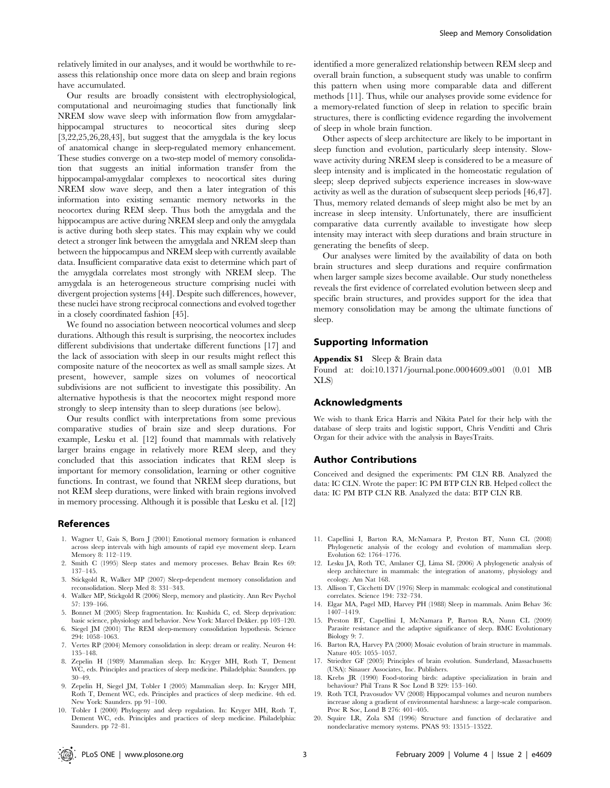relatively limited in our analyses, and it would be worthwhile to reassess this relationship once more data on sleep and brain regions have accumulated.

Our results are broadly consistent with electrophysiological, computational and neuroimaging studies that functionally link NREM slow wave sleep with information flow from amygdalarhippocampal structures to neocortical sites during sleep [3,22,25,26,28,43], but suggest that the amygdala is the key locus of anatomical change in sleep-regulated memory enhancement. These studies converge on a two-step model of memory consolidation that suggests an initial information transfer from the hippocampal-amygdalar complexes to neocortical sites during NREM slow wave sleep, and then a later integration of this information into existing semantic memory networks in the neocortex during REM sleep. Thus both the amygdala and the hippocampus are active during NREM sleep and only the amygdala is active during both sleep states. This may explain why we could detect a stronger link between the amygdala and NREM sleep than between the hippocampus and NREM sleep with currently available data. Insufficient comparative data exist to determine which part of the amygdala correlates most strongly with NREM sleep. The amygdala is an heterogeneous structure comprising nuclei with divergent projection systems [44]. Despite such differences, however, these nuclei have strong reciprocal connections and evolved together in a closely coordinated fashion [45].

We found no association between neocortical volumes and sleep durations. Although this result is surprising, the neocortex includes different subdivisions that undertake different functions [17] and the lack of association with sleep in our results might reflect this composite nature of the neocortex as well as small sample sizes. At present, however, sample sizes on volumes of neocortical subdivisions are not sufficient to investigate this possibility. An alternative hypothesis is that the neocortex might respond more strongly to sleep intensity than to sleep durations (see below).

Our results conflict with interpretations from some previous comparative studies of brain size and sleep durations. For example, Lesku et al. [12] found that mammals with relatively larger brains engage in relatively more REM sleep, and they concluded that this association indicates that REM sleep is important for memory consolidation, learning or other cognitive functions. In contrast, we found that NREM sleep durations, but not REM sleep durations, were linked with brain regions involved in memory processing. Although it is possible that Lesku et al. [12]

#### References

- 1. Wagner U, Gais S, Born J (2001) Emotional memory formation is enhanced across sleep intervals with high amounts of rapid eye movement sleep. Learn Memory 8: 112–119.
- 2. Smith C (1995) Sleep states and memory processes. Behav Brain Res 69: 137–145.
- 3. Stickgold R, Walker MP (2007) Sleep-dependent memory consolidation and reconsolidation. Sleep Med 8: 331–343.
- 4. Walker MP, Stickgold R (2006) Sleep, memory and plasticity. Ann Rev Psychol 57: 139–166.
- 5. Bonnet M (2005) Sleep fragmentation. In: Kushida C, ed. Sleep deprivation: basic science, physiology and behavior. New York: Marcel Dekker. pp 103–120.
- 6. Siegel JM (2001) The REM sleep-memory consolidation hypothesis. Science 294: 1058–1063.
- 7. Vertes RP (2004) Memory consolidation in sleep: dream or reality. Neuron 44: 135–148.
- 8. Zepelin H (1989) Mammalian sleep. In: Kryger MH, Roth T, Dement WC, eds. Principles and practices of sleep medicine. Philadelphia: Saunders. pp 30–49.
- 9. Zepelin H, Siegel JM, Tobler I (2005) Mammalian sleep. In: Kryger MH, Roth T, Dement WC, eds. Principles and practices of sleep medicine. 4th ed. New York: Saunders. pp 91–100.
- 10. Tobler I (2000) Phylogeny and sleep regulation. In: Kryger MH, Roth T, Dement WC, eds. Principles and practices of sleep medicine. Philadelphia: Saunders. pp 72–81.

identified a more generalized relationship between REM sleep and overall brain function, a subsequent study was unable to confirm this pattern when using more comparable data and different methods [11]. Thus, while our analyses provide some evidence for a memory-related function of sleep in relation to specific brain structures, there is conflicting evidence regarding the involvement of sleep in whole brain function.

Other aspects of sleep architecture are likely to be important in sleep function and evolution, particularly sleep intensity. Slowwave activity during NREM sleep is considered to be a measure of sleep intensity and is implicated in the homeostatic regulation of sleep; sleep deprived subjects experience increases in slow-wave activity as well as the duration of subsequent sleep periods [46,47]. Thus, memory related demands of sleep might also be met by an increase in sleep intensity. Unfortunately, there are insufficient comparative data currently available to investigate how sleep intensity may interact with sleep durations and brain structure in generating the benefits of sleep.

Our analyses were limited by the availability of data on both brain structures and sleep durations and require confirmation when larger sample sizes become available. Our study nonetheless reveals the first evidence of correlated evolution between sleep and specific brain structures, and provides support for the idea that memory consolidation may be among the ultimate functions of sleep.

#### Supporting Information

#### Appendix S1 Sleep & Brain data

Found at: doi:10.1371/journal.pone.0004609.s001 (0.01 MB XLS)

#### Acknowledgments

We wish to thank Erica Harris and Nikita Patel for their help with the database of sleep traits and logistic support, Chris Venditti and Chris Organ for their advice with the analysis in BayesTraits.

#### Author Contributions

Conceived and designed the experiments: PM CLN RB. Analyzed the data: IC CLN. Wrote the paper: IC PM BTP CLN RB. Helped collect the data: IC PM BTP CLN RB. Analyzed the data: BTP CLN RB.

- 11. Capellini I, Barton RA, McNamara P, Preston BT, Nunn CL (2008) Phylogenetic analysis of the ecology and evolution of mammalian sleep. Evolution 62: 1764–1776.
- 12. Lesku JA, Roth TC, Amlaner CJ, Lima SL (2006) A phylogenetic analysis of sleep architecture in mammals: the integration of anatomy, physiology and ecology. Am Nat 168.
- 13. Allison T, Cicchetti DV (1976) Sleep in mammals: ecological and constitutional correlates. Science 194: 732–734.
- 14. Elgar MA, Pagel MD, Harvey PH (1988) Sleep in mammals. Anim Behav 36: 1407–1419.
- 15. Preston BT, Capellini I, McNamara P, Barton RA, Nunn CL (2009) Parasite resistance and the adaptive significance of sleep. BMC Evolutionary Biology 9: 7.
- 16. Barton RA, Harvey PA (2000) Mosaic evolution of brain structure in mammals. Nature 405: 1055–1057.
- 17. Striedter GF (2005) Principles of brain evolution. Sunderland, Massachusetts (USA): Sinauer Associates, Inc. Publishers.
- 18. Krebs JR (1990) Food-storing birds: adaptive specialization in brain and behaviour? Phil Trans R Soc Lond B 329: 153–160.
- 19. Roth TCI, Pravosudov VV (2008) Hippocampal volumes and neuron numbers increase along a gradient of environmental harshness: a large-scale comparison. Proc R Soc, Lond B 276: 401–405.
- 20. Squire LR, Zola SM (1996) Structure and function of declarative and nondeclarative memory systems. PNAS 93: 13515–13522.